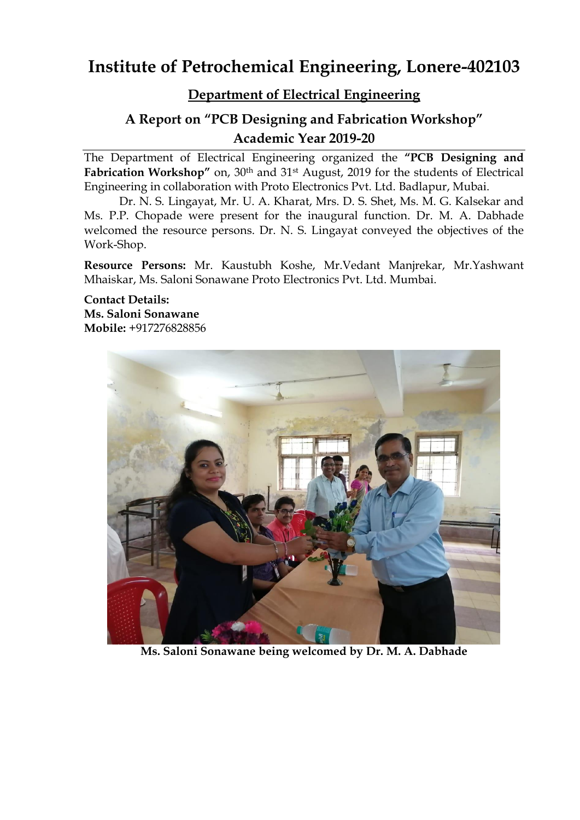# **Institute of Petrochemical Engineering, Lonere-402103**

# **Department of Electrical Engineering**

# **A Report on "PCB Designing and Fabrication Workshop" Academic Year 2019-20**

The Department of Electrical Engineering organized the **"PCB Designing and**  Fabrication Workshop" on, 30<sup>th</sup> and 31<sup>st</sup> August, 2019 for the students of Electrical Engineering in collaboration with Proto Electronics Pvt. Ltd. Badlapur, Mubai.

Dr. N. S. Lingayat, Mr. U. A. Kharat, Mrs. D. S. Shet, Ms. M. G. Kalsekar and Ms. P.P. Chopade were present for the inaugural function. Dr. M. A. Dabhade welcomed the resource persons. Dr. N. S. Lingayat conveyed the objectives of the Work-Shop.

**Resource Persons:** Mr. Kaustubh Koshe, Mr.Vedant Manjrekar, Mr.Yashwant Mhaiskar, Ms. Saloni Sonawane Proto Electronics Pvt. Ltd. Mumbai.

**Contact Details: Ms. Saloni Sonawane Mobile:** +917276828856



**Ms. Saloni Sonawane being welcomed by Dr. M. A. Dabhade**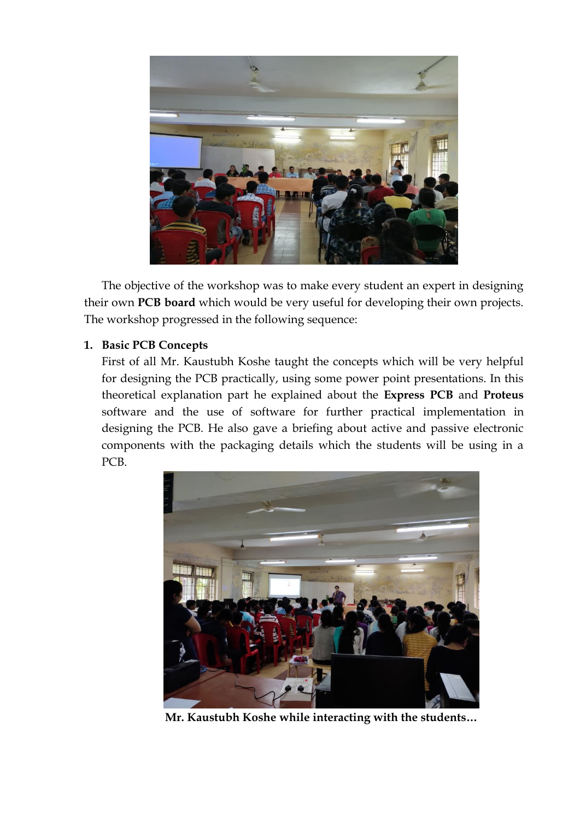

The objective of the workshop was to make every student an expert in designing their own **PCB board** which would be very useful for developing their own projects. The workshop progressed in the following sequence:

### **1. Basic PCB Concepts**

First of all Mr. Kaustubh Koshe taught the concepts which will be very helpful for designing the PCB practically, using some power point presentations. In this theoretical explanation part he explained about the **Express PCB** and **Proteus** software and the use of software for further practical implementation in designing the PCB. He also gave a briefing about active and passive electronic components with the packaging details which the students will be using in a PCB.



**Mr. Kaustubh Koshe while interacting with the students…**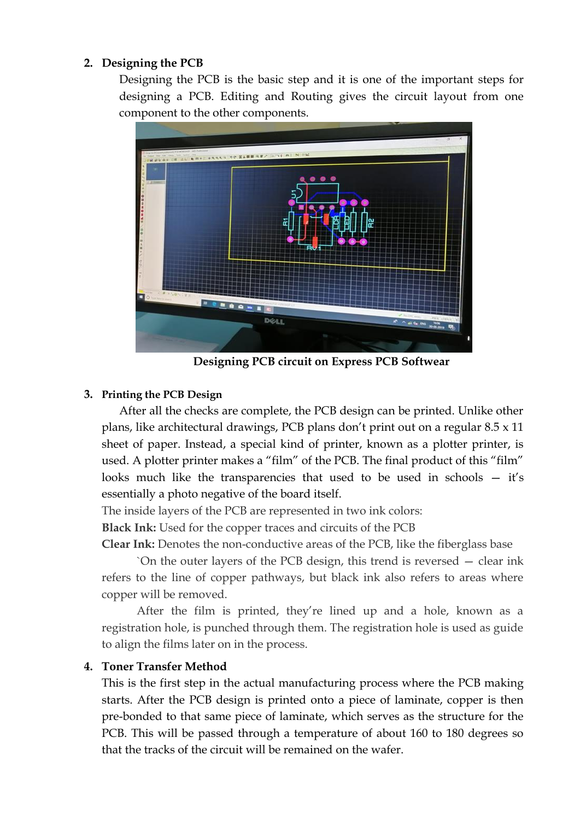#### **2. Designing the PCB**

Designing the PCB is the basic step and it is one of the important steps for designing a PCB. Editing and Routing gives the circuit layout from one component to the other components.



**Designing PCB circuit on Express PCB Softwear** 

### **3. Printing the PCB Design**

After all the checks are complete, the PCB design can be printed. Unlike other plans, like architectural drawings, PCB plans don't print out on a regular 8.5 x 11 sheet of paper. Instead, a special kind of printer, known as a plotter printer, is used. A plotter printer makes a "film" of the PCB. The final product of this "film" looks much like the transparencies that used to be used in schools — it's essentially a photo negative of the board itself.

The inside layers of the PCB are represented in two ink colors:

**Black Ink:** Used for the copper traces and circuits of the PCB

**Clear Ink:** Denotes the non-conductive areas of the PCB, like the fiberglass base

`On the outer layers of the PCB design, this trend is reversed — clear ink refers to the line of copper pathways, but black ink also refers to areas where copper will be removed.

After the film is printed, they're lined up and a hole, known as a registration hole, is punched through them. The registration hole is used as guide to align the films later on in the process.

### **4. Toner Transfer Method**

This is the first step in the actual manufacturing process where the PCB making starts. After the PCB design is printed onto a piece of laminate, copper is then pre-bonded to that same piece of laminate, which serves as the structure for the PCB. This will be passed through a temperature of about 160 to 180 degrees so that the tracks of the circuit will be remained on the wafer.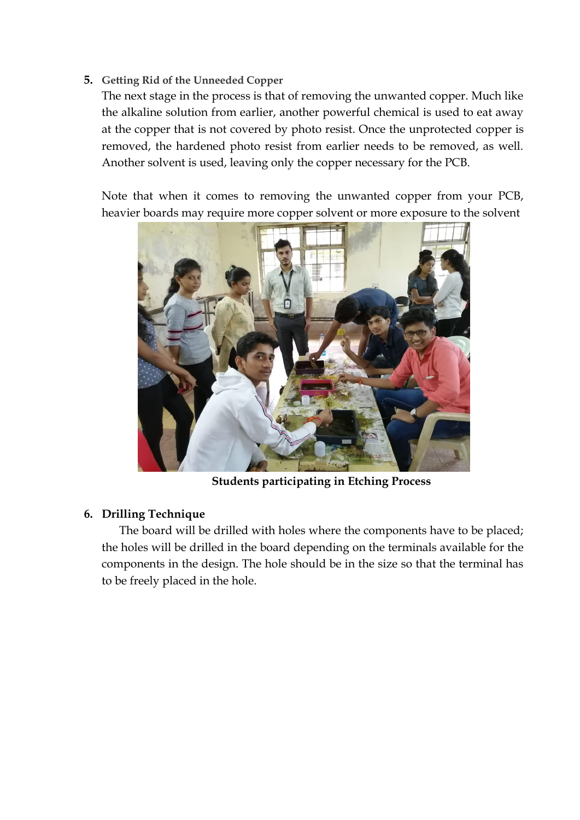**5. Getting Rid of the Unneeded Copper**

The next stage in the process is that of removing the unwanted copper. Much like the alkaline solution from earlier, another powerful chemical is used to eat away at the copper that is not covered by photo resist. Once the unprotected copper is removed, the hardened photo resist from earlier needs to be removed, as well. Another solvent is used, leaving only the copper necessary for the PCB.

Note that when it comes to removing the unwanted copper from your PCB, heavier boards may require more copper solvent or more exposure to the solvent



**Students participating in Etching Process**

### **6. Drilling Technique**

The board will be drilled with holes where the components have to be placed; the holes will be drilled in the board depending on the terminals available for the components in the design. The hole should be in the size so that the terminal has to be freely placed in the hole.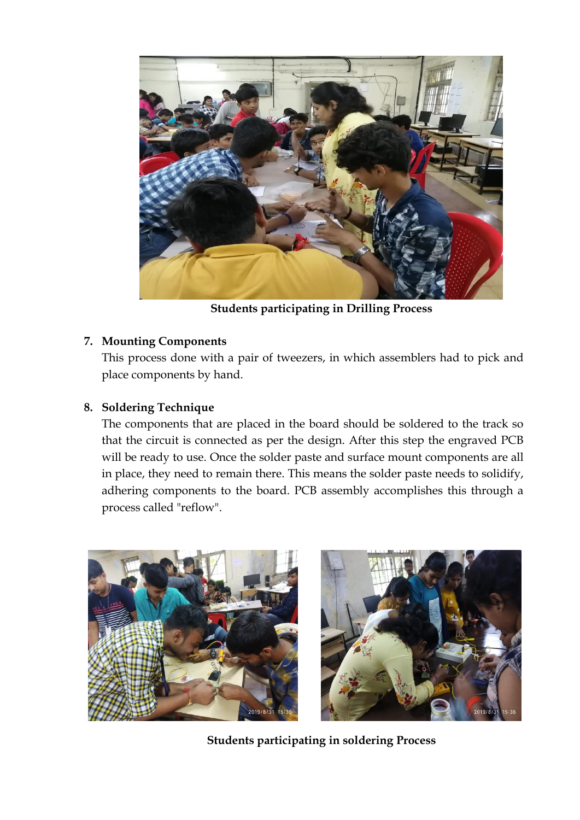

**Students participating in Drilling Process**

## **7. Mounting Components**

This process done with a pair of tweezers, in which assemblers had to pick and place components by hand.

## **8. Soldering Technique**

The components that are placed in the board should be soldered to the track so that the circuit is connected as per the design. After this step the engraved PCB will be ready to use. Once the solder paste and surface mount components are all in place, they need to remain there. This means the solder paste needs to solidify, adhering components to the board. PCB assembly accomplishes this through a process called "reflow".



**Students participating in soldering Process**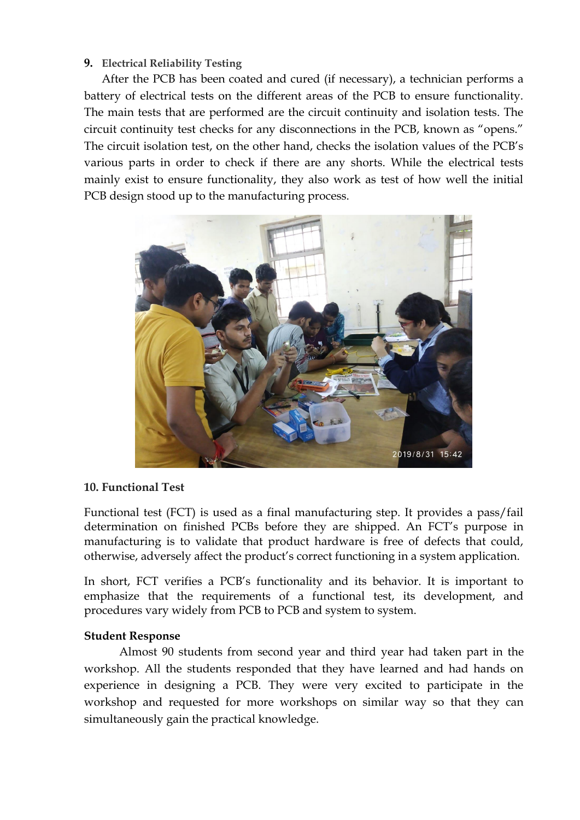#### **9. Electrical Reliability Testing**

After the PCB has been coated and cured (if necessary), a technician performs a battery of electrical tests on the different areas of the PCB to ensure functionality. The main tests that are performed are the circuit continuity and isolation tests. The circuit continuity test checks for any disconnections in the PCB, known as "opens." The circuit isolation test, on the other hand, checks the isolation values of the PCB's various parts in order to check if there are any shorts. While the electrical tests mainly exist to ensure functionality, they also work as test of how well the initial PCB design stood up to the manufacturing process.



#### **10. Functional Test**

Functional test (FCT) is used as a final manufacturing step. It provides a pass/fail determination on finished PCBs before they are shipped. An FCT's purpose in manufacturing is to validate that product hardware is free of defects that could, otherwise, adversely affect the product's correct functioning in a system application.

In short, FCT verifies a PCB's functionality and its behavior. It is important to emphasize that the requirements of a functional test, its development, and procedures vary widely from PCB to PCB and system to system.

#### **Student Response**

Almost 90 students from second year and third year had taken part in the workshop. All the students responded that they have learned and had hands on experience in designing a PCB. They were very excited to participate in the workshop and requested for more workshops on similar way so that they can simultaneously gain the practical knowledge.